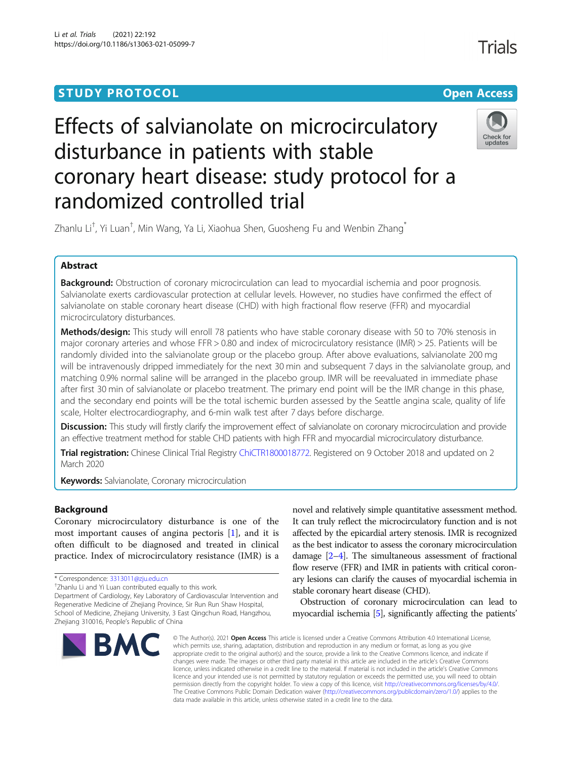## **STUDY PROTOCOL CONSUMING THE CONSUMING OPEN ACCESS**

# Effects of salvianolate on microcirculatory disturbance in patients with stable coronary heart disease: study protocol for a randomized controlled trial



Zhanlu Li<sup>†</sup>, Yi Luan<sup>†</sup>, Min Wang, Ya Li, Xiaohua Shen, Guosheng Fu and Wenbin Zhang<sup>\*</sup>

### Abstract

**Background:** Obstruction of coronary microcirculation can lead to myocardial ischemia and poor prognosis. Salvianolate exerts cardiovascular protection at cellular levels. However, no studies have confirmed the effect of salvianolate on stable coronary heart disease (CHD) with high fractional flow reserve (FFR) and myocardial microcirculatory disturbances.

Methods/design: This study will enroll 78 patients who have stable coronary disease with 50 to 70% stenosis in major coronary arteries and whose FFR > 0.80 and index of microcirculatory resistance (IMR) > 25. Patients will be randomly divided into the salvianolate group or the placebo group. After above evaluations, salvianolate 200 mg will be intravenously dripped immediately for the next 30 min and subsequent 7 days in the salvianolate group, and matching 0.9% normal saline will be arranged in the placebo group. IMR will be reevaluated in immediate phase after first 30 min of salvianolate or placebo treatment. The primary end point will be the IMR change in this phase, and the secondary end points will be the total ischemic burden assessed by the Seattle angina scale, quality of life scale, Holter electrocardiography, and 6-min walk test after 7 days before discharge.

Discussion: This study will firstly clarify the improvement effect of salvianolate on coronary microcirculation and provide an effective treatment method for stable CHD patients with high FFR and myocardial microcirculatory disturbance.

Trial registration: Chinese Clinical Trial Registry [ChiCTR1800018772](http://www.chictr.org.cn). Registered on 9 October 2018 and updated on 2 March 2020

**Keywords:** Salvianolate, Coronary microcirculation

#### Background

Coronary microcirculatory disturbance is one of the most important causes of angina pectoris [\[1](#page-6-0)], and it is often difficult to be diagnosed and treated in clinical practice. Index of microcirculatory resistance (IMR) is a

Department of Cardiology, Key Laboratory of Cardiovascular Intervention and Regenerative Medicine of Zhejiang Province, Sir Run Run Shaw Hospital, School of Medicine, Zhejiang University, 3 East Qingchun Road, Hangzhou, Zhejiang 310016, People's Republic of China



novel and relatively simple quantitative assessment method. It can truly reflect the microcirculatory function and is not affected by the epicardial artery stenosis. IMR is recognized as the best indicator to assess the coronary microcirculation damage [\[2](#page-6-0)–[4](#page-6-0)]. The simultaneous assessment of fractional flow reserve (FFR) and IMR in patients with critical coronary lesions can clarify the causes of myocardial ischemia in stable coronary heart disease (CHD).

Obstruction of coronary microcirculation can lead to myocardial ischemia [\[5](#page-6-0)], significantly affecting the patients'

© The Author(s), 2021 **Open Access** This article is licensed under a Creative Commons Attribution 4.0 International License, which permits use, sharing, adaptation, distribution and reproduction in any medium or format, as long as you give appropriate credit to the original author(s) and the source, provide a link to the Creative Commons licence, and indicate if changes were made. The images or other third party material in this article are included in the article's Creative Commons licence, unless indicated otherwise in a credit line to the material. If material is not included in the article's Creative Commons licence and your intended use is not permitted by statutory regulation or exceeds the permitted use, you will need to obtain permission directly from the copyright holder. To view a copy of this licence, visit [http://creativecommons.org/licenses/by/4.0/.](http://creativecommons.org/licenses/by/4.0/) The Creative Commons Public Domain Dedication waiver [\(http://creativecommons.org/publicdomain/zero/1.0/](http://creativecommons.org/publicdomain/zero/1.0/)) applies to the data made available in this article, unless otherwise stated in a credit line to the data.

Trials

<sup>\*</sup> Correspondence: [3313011@zju.edu.cn](mailto:3313011@zju.edu.cn) †

<sup>&</sup>lt;sup>+</sup>Zhanlu Li and Yi Luan contributed equally to this work.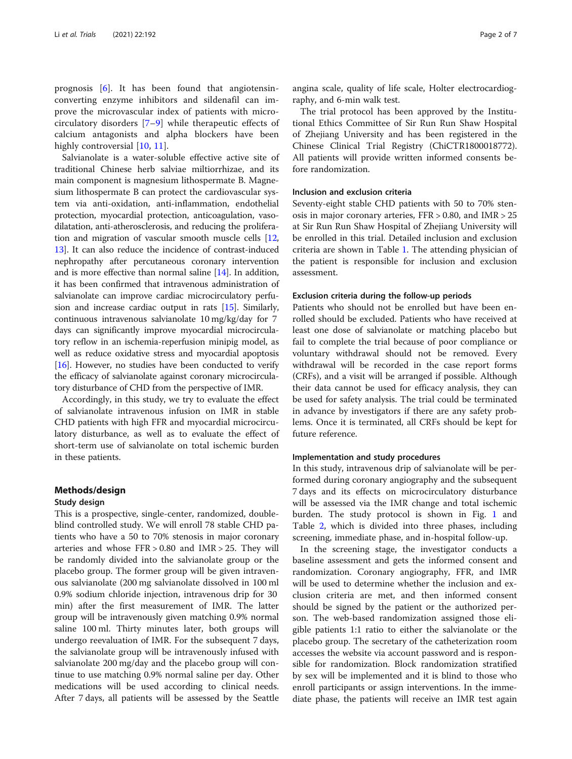prognosis [[6\]](#page-6-0). It has been found that angiotensinconverting enzyme inhibitors and sildenafil can improve the microvascular index of patients with microcirculatory disorders [[7](#page-6-0)–[9](#page-6-0)] while therapeutic effects of calcium antagonists and alpha blockers have been highly controversial [\[10](#page-6-0), [11](#page-6-0)].

Salvianolate is a water-soluble effective active site of traditional Chinese herb salviae miltiorrhizae, and its main component is magnesium lithospermate B. Magnesium lithospermate B can protect the cardiovascular system via anti-oxidation, anti-inflammation, endothelial protection, myocardial protection, anticoagulation, vasodilatation, anti-atherosclerosis, and reducing the proliferation and migration of vascular smooth muscle cells [[12](#page-6-0), [13](#page-6-0)]. It can also reduce the incidence of contrast-induced nephropathy after percutaneous coronary intervention and is more effective than normal saline [[14\]](#page-6-0). In addition, it has been confirmed that intravenous administration of salvianolate can improve cardiac microcirculatory perfusion and increase cardiac output in rats [[15](#page-6-0)]. Similarly, continuous intravenous salvianolate 10 mg/kg/day for 7 days can significantly improve myocardial microcirculatory reflow in an ischemia-reperfusion minipig model, as well as reduce oxidative stress and myocardial apoptosis [[16](#page-6-0)]. However, no studies have been conducted to verify the efficacy of salvianolate against coronary microcirculatory disturbance of CHD from the perspective of IMR.

Accordingly, in this study, we try to evaluate the effect of salvianolate intravenous infusion on IMR in stable CHD patients with high FFR and myocardial microcirculatory disturbance, as well as to evaluate the effect of short-term use of salvianolate on total ischemic burden in these patients.

#### Methods/design

#### Study design

This is a prospective, single-center, randomized, doubleblind controlled study. We will enroll 78 stable CHD patients who have a 50 to 70% stenosis in major coronary arteries and whose FFR > 0.80 and IMR > 25. They will be randomly divided into the salvianolate group or the placebo group. The former group will be given intravenous salvianolate (200 mg salvianolate dissolved in 100 ml 0.9% sodium chloride injection, intravenous drip for 30 min) after the first measurement of IMR. The latter group will be intravenously given matching 0.9% normal saline 100 ml. Thirty minutes later, both groups will undergo reevaluation of IMR. For the subsequent 7 days, the salvianolate group will be intravenously infused with salvianolate 200 mg/day and the placebo group will continue to use matching 0.9% normal saline per day. Other medications will be used according to clinical needs. After 7 days, all patients will be assessed by the Seattle

angina scale, quality of life scale, Holter electrocardiography, and 6-min walk test.

The trial protocol has been approved by the Institutional Ethics Committee of Sir Run Run Shaw Hospital of Zhejiang University and has been registered in the Chinese Clinical Trial Registry (ChiCTR1800018772). All patients will provide written informed consents before randomization.

#### Inclusion and exclusion criteria

Seventy-eight stable CHD patients with 50 to 70% stenosis in major coronary arteries, FFR > 0.80, and IMR > 25 at Sir Run Run Shaw Hospital of Zhejiang University will be enrolled in this trial. Detailed inclusion and exclusion criteria are shown in Table [1.](#page-2-0) The attending physician of the patient is responsible for inclusion and exclusion assessment.

#### Exclusion criteria during the follow-up periods

Patients who should not be enrolled but have been enrolled should be excluded. Patients who have received at least one dose of salvianolate or matching placebo but fail to complete the trial because of poor compliance or voluntary withdrawal should not be removed. Every withdrawal will be recorded in the case report forms (CRFs), and a visit will be arranged if possible. Although their data cannot be used for efficacy analysis, they can be used for safety analysis. The trial could be terminated in advance by investigators if there are any safety problems. Once it is terminated, all CRFs should be kept for future reference.

#### Implementation and study procedures

In this study, intravenous drip of salvianolate will be performed during coronary angiography and the subsequent 7 days and its effects on microcirculatory disturbance will be assessed via the IMR change and total ischemic burden. The study protocol is shown in Fig. [1](#page-2-0) and Table [2](#page-3-0), which is divided into three phases, including screening, immediate phase, and in-hospital follow-up.

In the screening stage, the investigator conducts a baseline assessment and gets the informed consent and randomization. Coronary angiography, FFR, and IMR will be used to determine whether the inclusion and exclusion criteria are met, and then informed consent should be signed by the patient or the authorized person. The web-based randomization assigned those eligible patients 1:1 ratio to either the salvianolate or the placebo group. The secretary of the catheterization room accesses the website via account password and is responsible for randomization. Block randomization stratified by sex will be implemented and it is blind to those who enroll participants or assign interventions. In the immediate phase, the patients will receive an IMR test again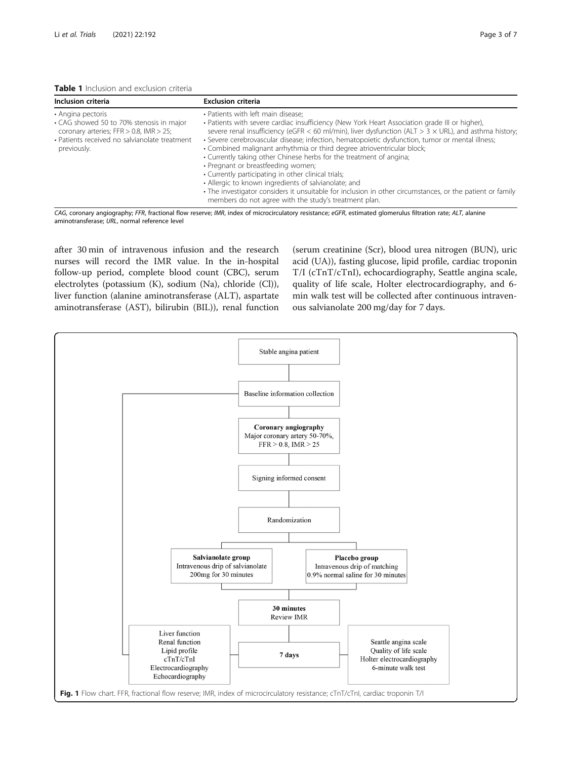<span id="page-2-0"></span>

| <b>Table 1</b> Inclusion and exclusion criteria |
|-------------------------------------------------|
|-------------------------------------------------|

| Inclusion criteria                                                                                                                                                             | <b>Exclusion criteria</b>                                                                                                                                                                                                                                                                                                                                                                                                                                                                                                                                                                                                                                                                                                                                                                                                             |
|--------------------------------------------------------------------------------------------------------------------------------------------------------------------------------|---------------------------------------------------------------------------------------------------------------------------------------------------------------------------------------------------------------------------------------------------------------------------------------------------------------------------------------------------------------------------------------------------------------------------------------------------------------------------------------------------------------------------------------------------------------------------------------------------------------------------------------------------------------------------------------------------------------------------------------------------------------------------------------------------------------------------------------|
| • Angina pectoris<br>• CAG showed 50 to 70% stenosis in major<br>coronary arteries; FFR $> 0.8$ , IMR $> 25$ ;<br>• Patients received no salvianolate treatment<br>previously. | • Patients with left main disease;<br>• Patients with severe cardiac insufficiency (New York Heart Association grade III or higher),<br>severe renal insufficiency (eGFR < 60 ml/min), liver dysfunction (ALT > 3 $\times$ URL), and asthma history;<br>· Severe cerebrovascular disease; infection, hematopoietic dysfunction, tumor or mental illness;<br>• Combined malignant arrhythmia or third degree atrioventricular block;<br>• Currently taking other Chinese herbs for the treatment of angina;<br>• Pregnant or breastfeeding women;<br>• Currently participating in other clinical trials;<br>• Allergic to known ingredients of salvianolate; and<br>• The investigator considers it unsuitable for inclusion in other circumstances, or the patient or family<br>members do not agree with the study's treatment plan. |

CAG, coronary angiography; FFR, fractional flow reserve; IMR, index of microcirculatory resistance; eGFR, estimated glomerulus filtration rate; ALT, alanine aminotransferase; URL, normal reference level

after 30 min of intravenous infusion and the research nurses will record the IMR value. In the in-hospital follow-up period, complete blood count (CBC), serum electrolytes (potassium (K), sodium (Na), chloride (Cl)), liver function (alanine aminotransferase (ALT), aspartate aminotransferase (AST), bilirubin (BIL)), renal function

(serum creatinine (Scr), blood urea nitrogen (BUN), uric acid (UA)), fasting glucose, lipid profile, cardiac troponin T/I (cTnT/cTnI), echocardiography, Seattle angina scale, quality of life scale, Holter electrocardiography, and 6 min walk test will be collected after continuous intravenous salvianolate 200 mg/day for 7 days.

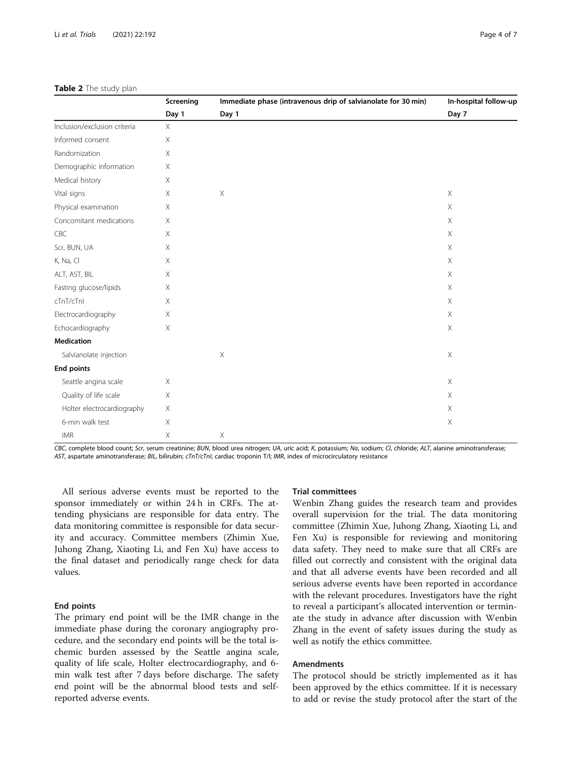#### <span id="page-3-0"></span>Table 2 The study plan

|                              | Screening<br>Day 1 | Immediate phase (intravenous drip of salvianolate for 30 min)<br>Day 1 | In-hospital follow-up<br>Day 7 |
|------------------------------|--------------------|------------------------------------------------------------------------|--------------------------------|
|                              |                    |                                                                        |                                |
| Inclusion/exclusion criteria | $\times$           |                                                                        |                                |
| Informed consent             | Χ                  |                                                                        |                                |
| Randomization                | Χ                  |                                                                        |                                |
| Demographic information      | Χ                  |                                                                        |                                |
| Medical history              | X                  |                                                                        |                                |
| Vital signs                  | Χ                  | $\times$                                                               | $\times$                       |
| Physical examination         | Χ                  |                                                                        | Χ                              |
| Concomitant medications      | Χ                  |                                                                        | X                              |
| CBC                          | Χ                  |                                                                        | $\mathsf X$                    |
| Scr, BUN, UA                 | Χ                  |                                                                        | $\mathsf X$                    |
| K, Na, Cl                    | Χ                  |                                                                        | $\mathsf X$                    |
| ALT, AST, BIL                | Χ                  |                                                                        | Χ                              |
| Fasting glucose/lipids       | Χ                  |                                                                        | $\mathsf X$                    |
| cTnT/cTnl                    | Χ                  |                                                                        | X                              |
| Electrocardiography          | X                  |                                                                        | X                              |
| Echocardiography             | Χ                  |                                                                        | X                              |
| <b>Medication</b>            |                    |                                                                        |                                |
| Salvianolate injection       |                    | $\mathsf X$                                                            | $\mathsf X$                    |
| <b>End points</b>            |                    |                                                                        |                                |
| Seattle angina scale         | $\times$           |                                                                        | $\times$                       |
| Quality of life scale        | X                  |                                                                        | $\mathsf X$                    |
| Holter electrocardiography   | X                  |                                                                        | $\mathsf X$                    |
| 6-min walk test              | Χ                  |                                                                        | $\mathsf X$                    |
| <b>IMR</b>                   | $\mathsf X$        | $\mathsf X$                                                            |                                |

CBC, complete blood count; Scr, serum creatinine; BUN, blood urea nitrogen; UA, uric acid; K, potassium; Na, sodium; Cl, chloride; ALT, alanine aminotransferase; AST, aspartate aminotransferase; BIL, bilirubin; cTnT/cTnI, cardiac troponin T/I; IMR, index of microcirculatory resistance

All serious adverse events must be reported to the sponsor immediately or within 24 h in CRFs. The attending physicians are responsible for data entry. The data monitoring committee is responsible for data security and accuracy. Committee members (Zhimin Xue, Juhong Zhang, Xiaoting Li, and Fen Xu) have access to the final dataset and periodically range check for data values.

#### End points

The primary end point will be the IMR change in the immediate phase during the coronary angiography procedure, and the secondary end points will be the total ischemic burden assessed by the Seattle angina scale, quality of life scale, Holter electrocardiography, and 6 min walk test after 7 days before discharge. The safety end point will be the abnormal blood tests and selfreported adverse events.

#### Trial committees

Wenbin Zhang guides the research team and provides overall supervision for the trial. The data monitoring committee (Zhimin Xue, Juhong Zhang, Xiaoting Li, and Fen Xu) is responsible for reviewing and monitoring data safety. They need to make sure that all CRFs are filled out correctly and consistent with the original data and that all adverse events have been recorded and all serious adverse events have been reported in accordance with the relevant procedures. Investigators have the right to reveal a participant's allocated intervention or terminate the study in advance after discussion with Wenbin Zhang in the event of safety issues during the study as well as notify the ethics committee.

#### Amendments

The protocol should be strictly implemented as it has been approved by the ethics committee. If it is necessary to add or revise the study protocol after the start of the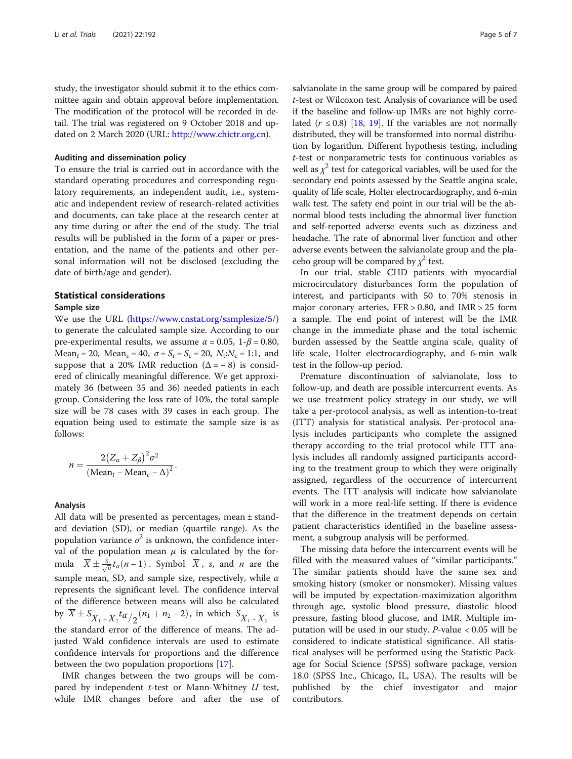study, the investigator should submit it to the ethics committee again and obtain approval before implementation. The modification of the protocol will be recorded in detail. The trial was registered on 9 October 2018 and updated on 2 March 2020 (URL: [http://www.chictr.org.cn\)](http://www.chictr.org.cn).

#### Auditing and dissemination policy

To ensure the trial is carried out in accordance with the standard operating procedures and corresponding regulatory requirements, an independent audit, i.e., systematic and independent review of research-related activities and documents, can take place at the research center at any time during or after the end of the study. The trial results will be published in the form of a paper or presentation, and the name of the patients and other personal information will not be disclosed (excluding the date of birth/age and gender).

#### Statistical considerations

#### Sample size

We use the URL [\(https://www.cnstat.org/samplesize/5/](https://www.cnstat.org/samplesize/5/)) to generate the calculated sample size. According to our pre-experimental results, we assume  $\alpha = 0.05$ ,  $1-\beta = 0.80$ ,  $Mean_t = 20$ ,  $Mean_c = 40$ ,  $\sigma = S_t = S_c = 20$ ,  $N_t : N_c = 1:1$ , and suppose that a 20% IMR reduction  $(\Delta = -8)$  is considered of clinically meaningful difference. We get approximately 36 (between 35 and 36) needed patients in each group. Considering the loss rate of 10%, the total sample size will be 78 cases with 39 cases in each group. The equation being used to estimate the sample size is as follows:

$$
n = \frac{2(Z_{\alpha} + Z_{\beta})^2 \sigma^2}{(\text{Mean}_t - \text{Mean}_c - \Delta)^2}.
$$

#### Analysis

All data will be presented as percentages, mean ± standard deviation (SD), or median (quartile range). As the population variance  $\sigma^2$  is unknown, the confidence interval of the population mean  $\mu$  is calculated by the formula  $\overline{X} \pm \frac{S}{\sqrt{n}} t_\alpha(n-1)$ . Symbol  $\overline{X}$ , s, and *n* are the sample mean, SD, and sample size, respectively, while  $\alpha$ represents the significant level. The confidence interval of the difference between means will also be calculated by  $\overline{X} \pm S_{\overline{X}_1 - \overline{X}_2} t \alpha / (n_1 + n_2 - 2)$ , in which  $S_{\overline{X}_1 - \overline{X}_2}$  is the standard error of the difference of means. The adjusted Wald confidence intervals are used to estimate confidence intervals for proportions and the difference between the two population proportions [\[17](#page-6-0)].

IMR changes between the two groups will be compared by independent  $t$ -test or Mann-Whitney  $U$  test, while IMR changes before and after the use of salvianolate in the same group will be compared by paired t-test or Wilcoxon test. Analysis of covariance will be used if the baseline and follow-up IMRs are not highly correlated ( $r \le 0.8$ ) [\[18](#page-6-0), [19\]](#page-6-0). If the variables are not normally distributed, they will be transformed into normal distribution by logarithm. Different hypothesis testing, including t-test or nonparametric tests for continuous variables as well as  $\chi^2$  test for categorical variables, will be used for the secondary end points assessed by the Seattle angina scale, quality of life scale, Holter electrocardiography, and 6-min walk test. The safety end point in our trial will be the abnormal blood tests including the abnormal liver function and self-reported adverse events such as dizziness and headache. The rate of abnormal liver function and other adverse events between the salvianolate group and the placebo group will be compared by  $\chi^2$  test.

In our trial, stable CHD patients with myocardial microcirculatory disturbances form the population of interest, and participants with 50 to 70% stenosis in major coronary arteries,  $FFR > 0.80$ , and  $IMR > 25$  form a sample. The end point of interest will be the IMR change in the immediate phase and the total ischemic burden assessed by the Seattle angina scale, quality of life scale, Holter electrocardiography, and 6-min walk test in the follow-up period.

Premature discontinuation of salvianolate, loss to follow-up, and death are possible intercurrent events. As we use treatment policy strategy in our study, we will take a per-protocol analysis, as well as intention-to-treat (ITT) analysis for statistical analysis. Per-protocol analysis includes participants who complete the assigned therapy according to the trial protocol while ITT analysis includes all randomly assigned participants according to the treatment group to which they were originally assigned, regardless of the occurrence of intercurrent events. The ITT analysis will indicate how salvianolate will work in a more real-life setting. If there is evidence that the difference in the treatment depends on certain patient characteristics identified in the baseline assessment, a subgroup analysis will be performed.

The missing data before the intercurrent events will be filled with the measured values of "similar participants." The similar patients should have the same sex and smoking history (smoker or nonsmoker). Missing values will be imputed by expectation-maximization algorithm through age, systolic blood pressure, diastolic blood pressure, fasting blood glucose, and IMR. Multiple imputation will be used in our study. P-value < 0.05 will be considered to indicate statistical significance. All statistical analyses will be performed using the Statistic Package for Social Science (SPSS) software package, version 18.0 (SPSS Inc., Chicago, IL, USA). The results will be published by the chief investigator and major contributors.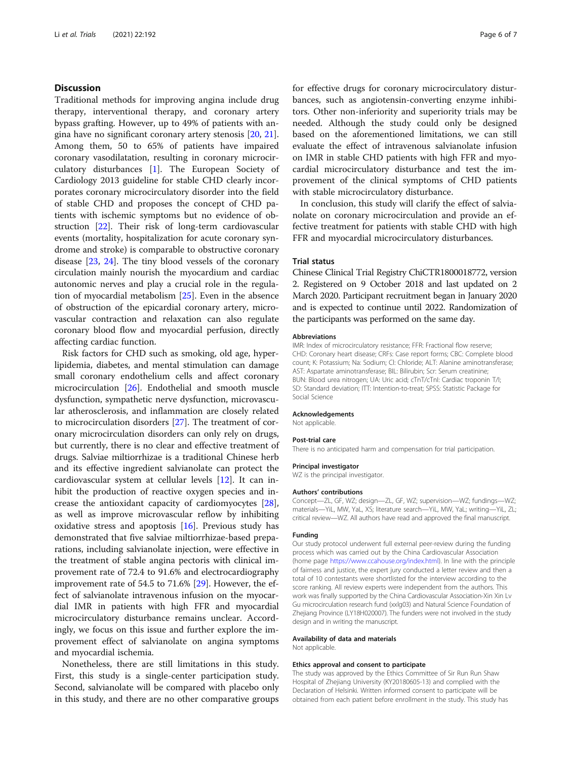#### **Discussion**

Traditional methods for improving angina include drug therapy, interventional therapy, and coronary artery bypass grafting. However, up to 49% of patients with angina have no significant coronary artery stenosis [[20](#page-6-0), [21](#page-6-0)]. Among them, 50 to 65% of patients have impaired coronary vasodilatation, resulting in coronary microcirculatory disturbances [[1\]](#page-6-0). The European Society of Cardiology 2013 guideline for stable CHD clearly incorporates coronary microcirculatory disorder into the field of stable CHD and proposes the concept of CHD patients with ischemic symptoms but no evidence of obstruction [\[22](#page-6-0)]. Their risk of long-term cardiovascular events (mortality, hospitalization for acute coronary syndrome and stroke) is comparable to obstructive coronary disease [\[23](#page-6-0), [24](#page-6-0)]. The tiny blood vessels of the coronary circulation mainly nourish the myocardium and cardiac autonomic nerves and play a crucial role in the regulation of myocardial metabolism [[25](#page-6-0)]. Even in the absence of obstruction of the epicardial coronary artery, microvascular contraction and relaxation can also regulate coronary blood flow and myocardial perfusion, directly affecting cardiac function.

Risk factors for CHD such as smoking, old age, hyperlipidemia, diabetes, and mental stimulation can damage small coronary endothelium cells and affect coronary microcirculation [[26\]](#page-6-0). Endothelial and smooth muscle dysfunction, sympathetic nerve dysfunction, microvascular atherosclerosis, and inflammation are closely related to microcirculation disorders [\[27](#page-6-0)]. The treatment of coronary microcirculation disorders can only rely on drugs, but currently, there is no clear and effective treatment of drugs. Salviae miltiorrhizae is a traditional Chinese herb and its effective ingredient salvianolate can protect the cardiovascular system at cellular levels [\[12\]](#page-6-0). It can inhibit the production of reactive oxygen species and increase the antioxidant capacity of cardiomyocytes [\[28](#page-6-0)], as well as improve microvascular reflow by inhibiting oxidative stress and apoptosis [\[16\]](#page-6-0). Previous study has demonstrated that five salviae miltiorrhizae-based preparations, including salvianolate injection, were effective in the treatment of stable angina pectoris with clinical improvement rate of 72.4 to 91.6% and electrocardiography improvement rate of 54.5 to 71.6% [\[29](#page-6-0)]. However, the effect of salvianolate intravenous infusion on the myocardial IMR in patients with high FFR and myocardial microcirculatory disturbance remains unclear. Accordingly, we focus on this issue and further explore the improvement effect of salvianolate on angina symptoms and myocardial ischemia.

Nonetheless, there are still limitations in this study. First, this study is a single-center participation study. Second, salvianolate will be compared with placebo only in this study, and there are no other comparative groups for effective drugs for coronary microcirculatory disturbances, such as angiotensin-converting enzyme inhibitors. Other non-inferiority and superiority trials may be needed. Although the study could only be designed based on the aforementioned limitations, we can still evaluate the effect of intravenous salvianolate infusion on IMR in stable CHD patients with high FFR and myocardial microcirculatory disturbance and test the improvement of the clinical symptoms of CHD patients with stable microcirculatory disturbance.

In conclusion, this study will clarify the effect of salvianolate on coronary microcirculation and provide an effective treatment for patients with stable CHD with high FFR and myocardial microcirculatory disturbances.

#### Trial status

Chinese Clinical Trial Registry ChiCTR1800018772, version 2. Registered on 9 October 2018 and last updated on 2 March 2020. Participant recruitment began in January 2020 and is expected to continue until 2022. Randomization of the participants was performed on the same day.

#### Abbreviations

IMR: Index of microcirculatory resistance; FFR: Fractional flow reserve; CHD: Coronary heart disease; CRFs: Case report forms; CBC: Complete blood count; K: Potassium; Na: Sodium; Cl: Chloride; ALT: Alanine aminotransferase; AST: Aspartate aminotransferase; BIL: Bilirubin; Scr: Serum creatinine; BUN: Blood urea nitrogen; UA: Uric acid; cTnT/cTnI: Cardiac troponin T/I; SD: Standard deviation; ITT: Intention-to-treat; SPSS: Statistic Package for Social Science

#### Acknowledgements

Not applicable.

#### Post-trial care

There is no anticipated harm and compensation for trial participation.

#### Principal investigator

WZ is the principal investigator.

#### Authors' contributions

Concept—ZL, GF, WZ; design—ZL, GF, WZ; supervision—WZ; fundings—WZ; materials—YiL, MW, YaL, XS; literature search—YiL, MW, YaL; writing—YiL, ZL; critical review—WZ. All authors have read and approved the final manuscript.

#### Funding

Our study protocol underwent full external peer-review during the funding process which was carried out by the China Cardiovascular Association (home page [https://www.ccahouse.org/index.html\)](https://www.ccahouse.org/index.html). In line with the principle of fairness and justice, the expert jury conducted a letter review and then a total of 10 contestants were shortlisted for the interview according to the score ranking. All review experts were independent from the authors. This work was finally supported by the China Cardiovascular Association-Xin Xin Lv Gu microcirculation research fund (xxlg03) and Natural Science Foundation of Zhejiang Province (LY18H020007). The funders were not involved in the study design and in writing the manuscript.

#### Availability of data and materials

Not applicable.

#### Ethics approval and consent to participate

The study was approved by the Ethics Committee of Sir Run Run Shaw Hospital of Zhejiang University (KY20180605-13) and complied with the Declaration of Helsinki. Written informed consent to participate will be obtained from each patient before enrollment in the study. This study has